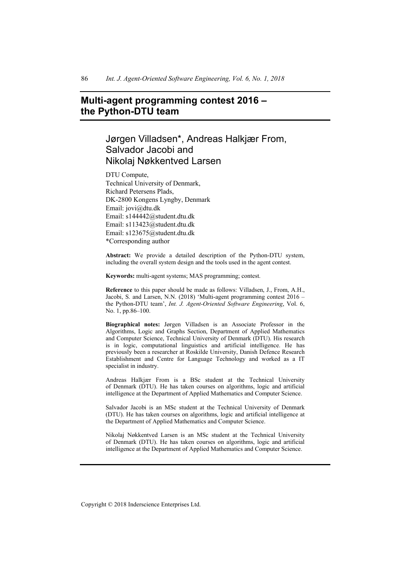# **Multi-agent programming contest 2016 – the Python-DTU team**

# Jørgen Villadsen\*, Andreas Halkjær From, Salvador Jacobi and Nikolaj Nøkkentved Larsen

DTU Compute, Technical University of Denmark, Richard Petersens Plads, DK-2800 Kongens Lyngby, Denmark Email: jovi@dtu.dk Email: s144442@student.dtu.dk Email: s113423@student.dtu.dk Email: s123675@student.dtu.dk \*Corresponding author

**Abstract:** We provide a detailed description of the Python-DTU system, including the overall system design and the tools used in the agent contest.

**Keywords:** multi-agent systems; MAS programming; contest.

**Reference** to this paper should be made as follows: Villadsen, J., From, A.H., Jacobi, S. and Larsen, N.N. (2018) 'Multi-agent programming contest 2016 – the Python-DTU team', *Int. J. Agent-Oriented Software Engineering*, Vol. 6, No. 1, pp.86–100.

**Biographical notes:** Jørgen Villadsen is an Associate Professor in the Algorithms, Logic and Graphs Section, Department of Applied Mathematics and Computer Science, Technical University of Denmark (DTU). His research is in logic, computational linguistics and artificial intelligence. He has previously been a researcher at Roskilde University, Danish Defence Research Establishment and Centre for Language Technology and worked as a IT specialist in industry.

Andreas Halkjær From is a BSc student at the Technical University of Denmark (DTU). He has taken courses on algorithms, logic and artificial intelligence at the Department of Applied Mathematics and Computer Science.

Salvador Jacobi is an MSc student at the Technical University of Denmark (DTU). He has taken courses on algorithms, logic and artificial intelligence at the Department of Applied Mathematics and Computer Science.

Nikolaj Nøkkentved Larsen is an MSc student at the Technical University of Denmark (DTU). He has taken courses on algorithms, logic and artificial intelligence at the Department of Applied Mathematics and Computer Science.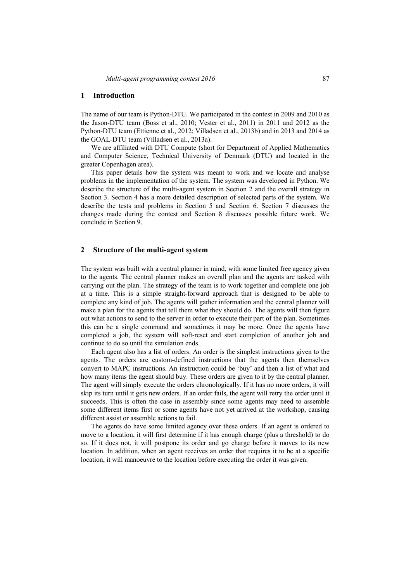## **1 Introduction**

The name of our team is Python-DTU. We participated in the contest in 2009 and 2010 as the Jason-DTU team (Boss et al., 2010; Vester et al., 2011) in 2011 and 2012 as the Python-DTU team (Ettienne et al., 2012; Villadsen et al., 2013b) and in 2013 and 2014 as the GOAL-DTU team (Villadsen et al., 2013a).

We are affiliated with DTU Compute (short for Department of Applied Mathematics and Computer Science, Technical University of Denmark (DTU) and located in the greater Copenhagen area).

This paper details how the system was meant to work and we locate and analyse problems in the implementation of the system. The system was developed in Python. We describe the structure of the multi-agent system in Section 2 and the overall strategy in Section 3. Section 4 has a more detailed description of selected parts of the system. We describe the tests and problems in Section 5 and Section 6. Section 7 discusses the changes made during the contest and Section 8 discusses possible future work. We conclude in Section 9.

## **2 Structure of the multi-agent system**

The system was built with a central planner in mind, with some limited free agency given to the agents. The central planner makes an overall plan and the agents are tasked with carrying out the plan. The strategy of the team is to work together and complete one job at a time. This is a simple straight-forward approach that is designed to be able to complete any kind of job. The agents will gather information and the central planner will make a plan for the agents that tell them what they should do. The agents will then figure out what actions to send to the server in order to execute their part of the plan. Sometimes this can be a single command and sometimes it may be more. Once the agents have completed a job, the system will soft-reset and start completion of another job and continue to do so until the simulation ends.

Each agent also has a list of orders. An order is the simplest instructions given to the agents. The orders are custom-defined instructions that the agents then themselves convert to MAPC instructions. An instruction could be 'buy' and then a list of what and how many items the agent should buy. These orders are given to it by the central planner. The agent will simply execute the orders chronologically. If it has no more orders, it will skip its turn until it gets new orders. If an order fails, the agent will retry the order until it succeeds. This is often the case in assembly since some agents may need to assemble some different items first or some agents have not yet arrived at the workshop, causing different assist or assemble actions to fail.

The agents do have some limited agency over these orders. If an agent is ordered to move to a location, it will first determine if it has enough charge (plus a threshold) to do so. If it does not, it will postpone its order and go charge before it moves to its new location. In addition, when an agent receives an order that requires it to be at a specific location, it will manoeuvre to the location before executing the order it was given.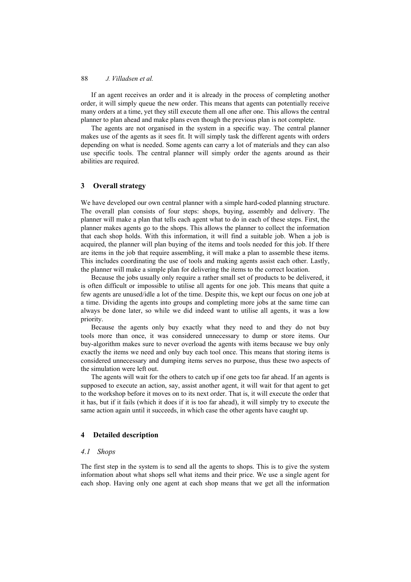If an agent receives an order and it is already in the process of completing another order, it will simply queue the new order. This means that agents can potentially receive many orders at a time, yet they still execute them all one after one. This allows the central planner to plan ahead and make plans even though the previous plan is not complete.

The agents are not organised in the system in a specific way. The central planner makes use of the agents as it sees fit. It will simply task the different agents with orders depending on what is needed. Some agents can carry a lot of materials and they can also use specific tools. The central planner will simply order the agents around as their abilities are required.

# **3 Overall strategy**

We have developed our own central planner with a simple hard-coded planning structure. The overall plan consists of four steps: shops, buying, assembly and delivery. The planner will make a plan that tells each agent what to do in each of these steps. First, the planner makes agents go to the shops. This allows the planner to collect the information that each shop holds. With this information, it will find a suitable job. When a job is acquired, the planner will plan buying of the items and tools needed for this job. If there are items in the job that require assembling, it will make a plan to assemble these items. This includes coordinating the use of tools and making agents assist each other. Lastly, the planner will make a simple plan for delivering the items to the correct location.

Because the jobs usually only require a rather small set of products to be delivered, it is often difficult or impossible to utilise all agents for one job. This means that quite a few agents are unused/idle a lot of the time. Despite this, we kept our focus on one job at a time. Dividing the agents into groups and completing more jobs at the same time can always be done later, so while we did indeed want to utilise all agents, it was a low priority.

Because the agents only buy exactly what they need to and they do not buy tools more than once, it was considered unnecessary to dump or store items. Our buy-algorithm makes sure to never overload the agents with items because we buy only exactly the items we need and only buy each tool once. This means that storing items is considered unnecessary and dumping items serves no purpose, thus these two aspects of the simulation were left out.

The agents will wait for the others to catch up if one gets too far ahead. If an agents is supposed to execute an action, say, assist another agent, it will wait for that agent to get to the workshop before it moves on to its next order. That is, it will execute the order that it has, but if it fails (which it does if it is too far ahead), it will simply try to execute the same action again until it succeeds, in which case the other agents have caught up.

# **4 Detailed description**

#### *4.1 Shops*

The first step in the system is to send all the agents to shops. This is to give the system information about what shops sell what items and their price. We use a single agent for each shop. Having only one agent at each shop means that we get all the information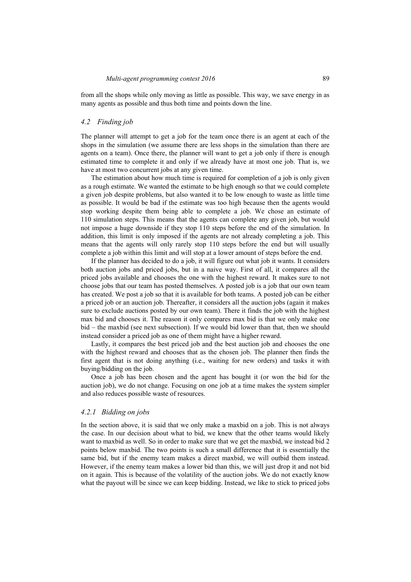from all the shops while only moving as little as possible. This way, we save energy in as many agents as possible and thus both time and points down the line.

#### *4.2 Finding job*

The planner will attempt to get a job for the team once there is an agent at each of the shops in the simulation (we assume there are less shops in the simulation than there are agents on a team). Once there, the planner will want to get a job only if there is enough estimated time to complete it and only if we already have at most one job. That is, we have at most two concurrent jobs at any given time.

The estimation about how much time is required for completion of a job is only given as a rough estimate. We wanted the estimate to be high enough so that we could complete a given job despite problems, but also wanted it to be low enough to waste as little time as possible. It would be bad if the estimate was too high because then the agents would stop working despite them being able to complete a job. We chose an estimate of 110 simulation steps. This means that the agents can complete any given job, but would not impose a huge downside if they stop 110 steps before the end of the simulation. In addition, this limit is only imposed if the agents are not already completing a job. This means that the agents will only rarely stop 110 steps before the end but will usually complete a job within this limit and will stop at a lower amount of steps before the end.

If the planner has decided to do a job, it will figure out what job it wants. It considers both auction jobs and priced jobs, but in a naive way. First of all, it compares all the priced jobs available and chooses the one with the highest reward. It makes sure to not choose jobs that our team has posted themselves. A posted job is a job that our own team has created. We post a job so that it is available for both teams. A posted job can be either a priced job or an auction job. Thereafter, it considers all the auction jobs (again it makes sure to exclude auctions posted by our own team). There it finds the job with the highest max bid and chooses it. The reason it only compares max bid is that we only make one bid – the maxbid (see next subsection). If we would bid lower than that, then we should instead consider a priced job as one of them might have a higher reward.

Lastly, it compares the best priced job and the best auction job and chooses the one with the highest reward and chooses that as the chosen job. The planner then finds the first agent that is not doing anything (i.e., waiting for new orders) and tasks it with buying/bidding on the job.

Once a job has been chosen and the agent has bought it (or won the bid for the auction job), we do not change. Focusing on one job at a time makes the system simpler and also reduces possible waste of resources.

# *4.2.1 Bidding on jobs*

In the section above, it is said that we only make a maxbid on a job. This is not always the case. In our decision about what to bid, we knew that the other teams would likely want to maxbid as well. So in order to make sure that we get the maxbid, we instead bid 2 points below maxbid. The two points is such a small difference that it is essentially the same bid, but if the enemy team makes a direct maxbid, we will outbid them instead. However, if the enemy team makes a lower bid than this, we will just drop it and not bid on it again. This is because of the volatility of the auction jobs. We do not exactly know what the payout will be since we can keep bidding. Instead, we like to stick to priced jobs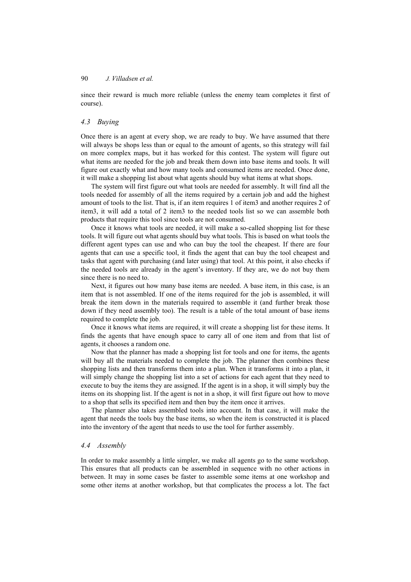since their reward is much more reliable (unless the enemy team completes it first of course).

#### *4.3 Buying*

Once there is an agent at every shop, we are ready to buy. We have assumed that there will always be shops less than or equal to the amount of agents, so this strategy will fail on more complex maps, but it has worked for this contest. The system will figure out what items are needed for the job and break them down into base items and tools. It will figure out exactly what and how many tools and consumed items are needed. Once done, it will make a shopping list about what agents should buy what items at what shops.

The system will first figure out what tools are needed for assembly. It will find all the tools needed for assembly of all the items required by a certain job and add the highest amount of tools to the list. That is, if an item requires 1 of item3 and another requires 2 of item3, it will add a total of 2 item3 to the needed tools list so we can assemble both products that require this tool since tools are not consumed.

Once it knows what tools are needed, it will make a so-called shopping list for these tools. It will figure out what agents should buy what tools. This is based on what tools the different agent types can use and who can buy the tool the cheapest. If there are four agents that can use a specific tool, it finds the agent that can buy the tool cheapest and tasks that agent with purchasing (and later using) that tool. At this point, it also checks if the needed tools are already in the agent's inventory. If they are, we do not buy them since there is no need to.

Next, it figures out how many base items are needed. A base item, in this case, is an item that is not assembled. If one of the items required for the job is assembled, it will break the item down in the materials required to assemble it (and further break those down if they need assembly too). The result is a table of the total amount of base items required to complete the job.

Once it knows what items are required, it will create a shopping list for these items. It finds the agents that have enough space to carry all of one item and from that list of agents, it chooses a random one.

Now that the planner has made a shopping list for tools and one for items, the agents will buy all the materials needed to complete the job. The planner then combines these shopping lists and then transforms them into a plan. When it transforms it into a plan, it will simply change the shopping list into a set of actions for each agent that they need to execute to buy the items they are assigned. If the agent is in a shop, it will simply buy the items on its shopping list. If the agent is not in a shop, it will first figure out how to move to a shop that sells its specified item and then buy the item once it arrives.

The planner also takes assembled tools into account. In that case, it will make the agent that needs the tools buy the base items, so when the item is constructed it is placed into the inventory of the agent that needs to use the tool for further assembly.

#### *4.4 Assembly*

In order to make assembly a little simpler, we make all agents go to the same workshop. This ensures that all products can be assembled in sequence with no other actions in between. It may in some cases be faster to assemble some items at one workshop and some other items at another workshop, but that complicates the process a lot. The fact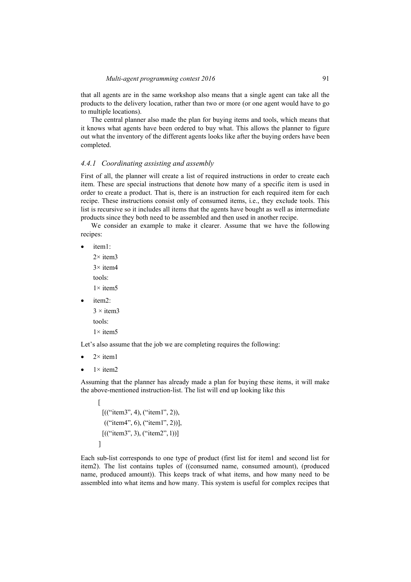that all agents are in the same workshop also means that a single agent can take all the products to the delivery location, rather than two or more (or one agent would have to go to multiple locations).

The central planner also made the plan for buying items and tools, which means that it knows what agents have been ordered to buy what. This allows the planner to figure out what the inventory of the different agents looks like after the buying orders have been completed.

#### *4.4.1 Coordinating assisting and assembly*

First of all, the planner will create a list of required instructions in order to create each item. These are special instructions that denote how many of a specific item is used in order to create a product. That is, there is an instruction for each required item for each recipe. These instructions consist only of consumed items, i.e., they exclude tools. This list is recursive so it includes all items that the agents have bought as well as intermediate products since they both need to be assembled and then used in another recipe.

We consider an example to make it clearer. Assume that we have the following recipes:

- item1:
	- $2\times$  item3  $3\times$  item4 tools:  $1\times$  item5
- item2<sup>.</sup>

 $3 \times$  item3 tools:  $1\times$  item5

Let's also assume that the job we are completing requires the following:

- $2 \times$  item1
- $1 \times$  item2

Assuming that the planner has already made a plan for buying these items, it will make the above-mentioned instruction-list. The list will end up looking like this

```
\lceil[(("item3", 4), ("item1", 2)),
   (("item4", 6), ("item1", 2))],
 [(("item3", 3), ("item2", 1))]
]
```
Each sub-list corresponds to one type of product (first list for item1 and second list for item2). The list contains tuples of ((consumed name, consumed amount), (produced name, produced amount)). This keeps track of what items, and how many need to be assembled into what items and how many. This system is useful for complex recipes that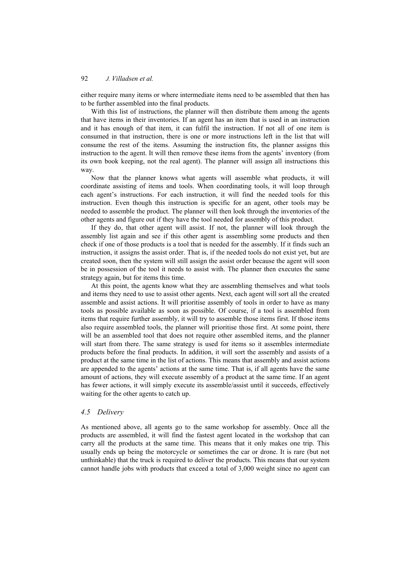either require many items or where intermediate items need to be assembled that then has to be further assembled into the final products.

With this list of instructions, the planner will then distribute them among the agents that have items in their inventories. If an agent has an item that is used in an instruction and it has enough of that item, it can fulfil the instruction. If not all of one item is consumed in that instruction, there is one or more instructions left in the list that will consume the rest of the items. Assuming the instruction fits, the planner assigns this instruction to the agent. It will then remove these items from the agents' inventory (from its own book keeping, not the real agent). The planner will assign all instructions this way.

Now that the planner knows what agents will assemble what products, it will coordinate assisting of items and tools. When coordinating tools, it will loop through each agent's instructions. For each instruction, it will find the needed tools for this instruction. Even though this instruction is specific for an agent, other tools may be needed to assemble the product. The planner will then look through the inventories of the other agents and figure out if they have the tool needed for assembly of this product.

If they do, that other agent will assist. If not, the planner will look through the assembly list again and see if this other agent is assembling some products and then check if one of those products is a tool that is needed for the assembly. If it finds such an instruction, it assigns the assist order. That is, if the needed tools do not exist yet, but are created soon, then the system will still assign the assist order because the agent will soon be in possession of the tool it needs to assist with. The planner then executes the same strategy again, but for items this time.

At this point, the agents know what they are assembling themselves and what tools and items they need to use to assist other agents. Next, each agent will sort all the created assemble and assist actions. It will prioritise assembly of tools in order to have as many tools as possible available as soon as possible. Of course, if a tool is assembled from items that require further assembly, it will try to assemble those items first. If those items also require assembled tools, the planner will prioritise those first. At some point, there will be an assembled tool that does not require other assembled items, and the planner will start from there. The same strategy is used for items so it assembles intermediate products before the final products. In addition, it will sort the assembly and assists of a product at the same time in the list of actions. This means that assembly and assist actions are appended to the agents' actions at the same time. That is, if all agents have the same amount of actions, they will execute assembly of a product at the same time. If an agent has fewer actions, it will simply execute its assemble/assist until it succeeds, effectively waiting for the other agents to catch up.

#### *4.5 Delivery*

As mentioned above, all agents go to the same workshop for assembly. Once all the products are assembled, it will find the fastest agent located in the workshop that can carry all the products at the same time. This means that it only makes one trip. This usually ends up being the motorcycle or sometimes the car or drone. It is rare (but not unthinkable) that the truck is required to deliver the products. This means that our system cannot handle jobs with products that exceed a total of 3,000 weight since no agent can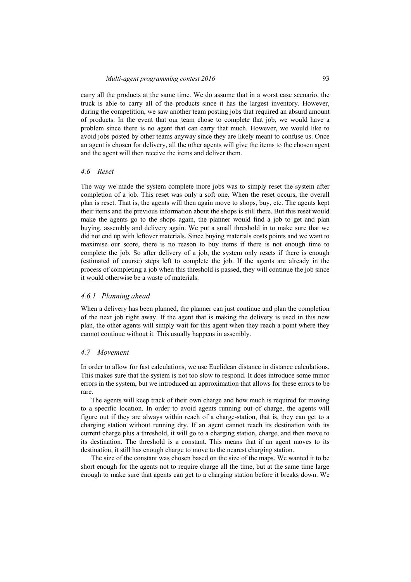carry all the products at the same time. We do assume that in a worst case scenario, the truck is able to carry all of the products since it has the largest inventory. However, during the competition, we saw another team posting jobs that required an absurd amount of products. In the event that our team chose to complete that job, we would have a problem since there is no agent that can carry that much. However, we would like to avoid jobs posted by other teams anyway since they are likely meant to confuse us. Once an agent is chosen for delivery, all the other agents will give the items to the chosen agent and the agent will then receive the items and deliver them.

## *4.6 Reset*

The way we made the system complete more jobs was to simply reset the system after completion of a job. This reset was only a soft one. When the reset occurs, the overall plan is reset. That is, the agents will then again move to shops, buy, etc. The agents kept their items and the previous information about the shops is still there. But this reset would make the agents go to the shops again, the planner would find a job to get and plan buying, assembly and delivery again. We put a small threshold in to make sure that we did not end up with leftover materials. Since buying materials costs points and we want to maximise our score, there is no reason to buy items if there is not enough time to complete the job. So after delivery of a job, the system only resets if there is enough (estimated of course) steps left to complete the job. If the agents are already in the process of completing a job when this threshold is passed, they will continue the job since it would otherwise be a waste of materials.

#### *4.6.1 Planning ahead*

When a delivery has been planned, the planner can just continue and plan the completion of the next job right away. If the agent that is making the delivery is used in this new plan, the other agents will simply wait for this agent when they reach a point where they cannot continue without it. This usually happens in assembly.

## *4.7 Movement*

In order to allow for fast calculations, we use Euclidean distance in distance calculations. This makes sure that the system is not too slow to respond. It does introduce some minor errors in the system, but we introduced an approximation that allows for these errors to be rare.

The agents will keep track of their own charge and how much is required for moving to a specific location. In order to avoid agents running out of charge, the agents will figure out if they are always within reach of a charge-station, that is, they can get to a charging station without running dry. If an agent cannot reach its destination with its current charge plus a threshold, it will go to a charging station, charge, and then move to its destination. The threshold is a constant. This means that if an agent moves to its destination, it still has enough charge to move to the nearest charging station.

The size of the constant was chosen based on the size of the maps. We wanted it to be short enough for the agents not to require charge all the time, but at the same time large enough to make sure that agents can get to a charging station before it breaks down. We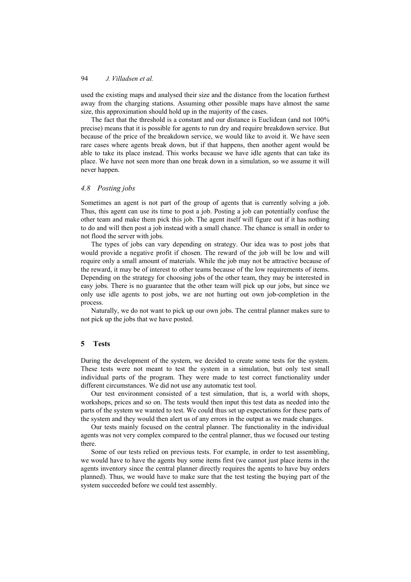used the existing maps and analysed their size and the distance from the location furthest away from the charging stations. Assuming other possible maps have almost the same size, this approximation should hold up in the majority of the cases.

The fact that the threshold is a constant and our distance is Euclidean (and not 100% precise) means that it is possible for agents to run dry and require breakdown service. But because of the price of the breakdown service, we would like to avoid it. We have seen rare cases where agents break down, but if that happens, then another agent would be able to take its place instead. This works because we have idle agents that can take its place. We have not seen more than one break down in a simulation, so we assume it will never happen.

## *4.8 Posting jobs*

Sometimes an agent is not part of the group of agents that is currently solving a job. Thus, this agent can use its time to post a job. Posting a job can potentially confuse the other team and make them pick this job. The agent itself will figure out if it has nothing to do and will then post a job instead with a small chance. The chance is small in order to not flood the server with jobs.

The types of jobs can vary depending on strategy. Our idea was to post jobs that would provide a negative profit if chosen. The reward of the job will be low and will require only a small amount of materials. While the job may not be attractive because of the reward, it may be of interest to other teams because of the low requirements of items. Depending on the strategy for choosing jobs of the other team, they may be interested in easy jobs. There is no guarantee that the other team will pick up our jobs, but since we only use idle agents to post jobs, we are not hurting out own job-completion in the process.

Naturally, we do not want to pick up our own jobs. The central planner makes sure to not pick up the jobs that we have posted.

# **5 Tests**

During the development of the system, we decided to create some tests for the system. These tests were not meant to test the system in a simulation, but only test small individual parts of the program. They were made to test correct functionality under different circumstances. We did not use any automatic test tool.

Our test environment consisted of a test simulation, that is, a world with shops, workshops, prices and so on. The tests would then input this test data as needed into the parts of the system we wanted to test. We could thus set up expectations for these parts of the system and they would then alert us of any errors in the output as we made changes.

Our tests mainly focused on the central planner. The functionality in the individual agents was not very complex compared to the central planner, thus we focused our testing there.

Some of our tests relied on previous tests. For example, in order to test assembling, we would have to have the agents buy some items first (we cannot just place items in the agents inventory since the central planner directly requires the agents to have buy orders planned). Thus, we would have to make sure that the test testing the buying part of the system succeeded before we could test assembly.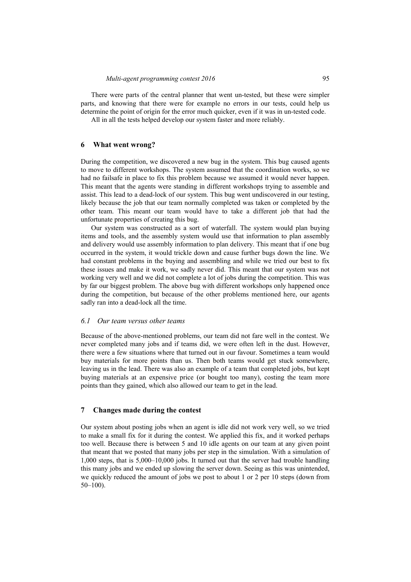There were parts of the central planner that went un-tested, but these were simpler parts, and knowing that there were for example no errors in our tests, could help us determine the point of origin for the error much quicker, even if it was in un-tested code.

All in all the tests helped develop our system faster and more reliably.

#### **6 What went wrong?**

During the competition, we discovered a new bug in the system. This bug caused agents to move to different workshops. The system assumed that the coordination works, so we had no failsafe in place to fix this problem because we assumed it would never happen. This meant that the agents were standing in different workshops trying to assemble and assist. This lead to a dead-lock of our system. This bug went undiscovered in our testing, likely because the job that our team normally completed was taken or completed by the other team. This meant our team would have to take a different job that had the unfortunate properties of creating this bug.

Our system was constructed as a sort of waterfall. The system would plan buying items and tools, and the assembly system would use that information to plan assembly and delivery would use assembly information to plan delivery. This meant that if one bug occurred in the system, it would trickle down and cause further bugs down the line. We had constant problems in the buying and assembling and while we tried our best to fix these issues and make it work, we sadly never did. This meant that our system was not working very well and we did not complete a lot of jobs during the competition. This was by far our biggest problem. The above bug with different workshops only happened once during the competition, but because of the other problems mentioned here, our agents sadly ran into a dead-lock all the time.

## *6.1 Our team versus other teams*

Because of the above-mentioned problems, our team did not fare well in the contest. We never completed many jobs and if teams did, we were often left in the dust. However, there were a few situations where that turned out in our favour. Sometimes a team would buy materials for more points than us. Then both teams would get stuck somewhere, leaving us in the lead. There was also an example of a team that completed jobs, but kept buying materials at an expensive price (or bought too many), costing the team more points than they gained, which also allowed our team to get in the lead.

#### **7 Changes made during the contest**

Our system about posting jobs when an agent is idle did not work very well, so we tried to make a small fix for it during the contest. We applied this fix, and it worked perhaps too well. Because there is between 5 and 10 idle agents on our team at any given point that meant that we posted that many jobs per step in the simulation. With a simulation of 1,000 steps, that is 5,000–10,000 jobs. It turned out that the server had trouble handling this many jobs and we ended up slowing the server down. Seeing as this was unintended, we quickly reduced the amount of jobs we post to about 1 or 2 per 10 steps (down from 50–100).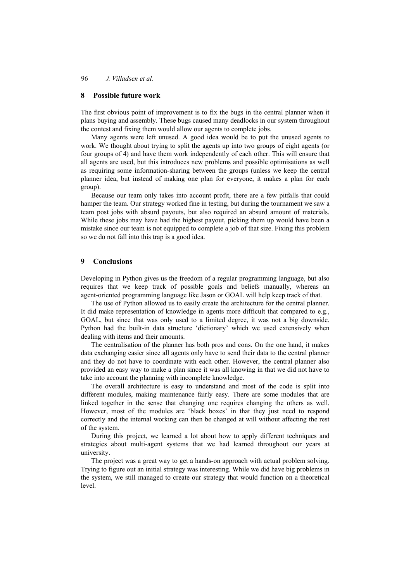## **8 Possible future work**

The first obvious point of improvement is to fix the bugs in the central planner when it plans buying and assembly. These bugs caused many deadlocks in our system throughout the contest and fixing them would allow our agents to complete jobs.

Many agents were left unused. A good idea would be to put the unused agents to work. We thought about trying to split the agents up into two groups of eight agents (or four groups of 4) and have them work independently of each other. This will ensure that all agents are used, but this introduces new problems and possible optimisations as well as requiring some information-sharing between the groups (unless we keep the central planner idea, but instead of making one plan for everyone, it makes a plan for each group).

Because our team only takes into account profit, there are a few pitfalls that could hamper the team. Our strategy worked fine in testing, but during the tournament we saw a team post jobs with absurd payouts, but also required an absurd amount of materials. While these jobs may have had the highest payout, picking them up would have been a mistake since our team is not equipped to complete a job of that size. Fixing this problem so we do not fall into this trap is a good idea.

## **9 Conclusions**

Developing in Python gives us the freedom of a regular programming language, but also requires that we keep track of possible goals and beliefs manually, whereas an agent-oriented programming language like Jason or GOAL will help keep track of that.

The use of Python allowed us to easily create the architecture for the central planner. It did make representation of knowledge in agents more difficult that compared to e.g., GOAL, but since that was only used to a limited degree, it was not a big downside. Python had the built-in data structure 'dictionary' which we used extensively when dealing with items and their amounts.

The centralisation of the planner has both pros and cons. On the one hand, it makes data exchanging easier since all agents only have to send their data to the central planner and they do not have to coordinate with each other. However, the central planner also provided an easy way to make a plan since it was all knowing in that we did not have to take into account the planning with incomplete knowledge.

The overall architecture is easy to understand and most of the code is split into different modules, making maintenance fairly easy. There are some modules that are linked together in the sense that changing one requires changing the others as well. However, most of the modules are 'black boxes' in that they just need to respond correctly and the internal working can then be changed at will without affecting the rest of the system.

During this project, we learned a lot about how to apply different techniques and strategies about multi-agent systems that we had learned throughout our years at university.

The project was a great way to get a hands-on approach with actual problem solving. Trying to figure out an initial strategy was interesting. While we did have big problems in the system, we still managed to create our strategy that would function on a theoretical level.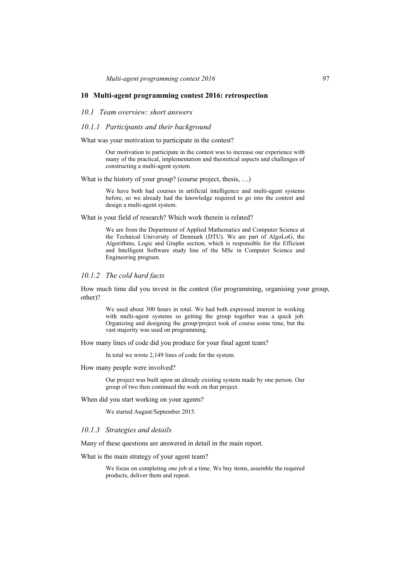# **10 Multi-agent programming contest 2016: retrospection**

*10.1 Team overview: short answers* 

#### *10.1.1 Participants and their background*

What was your motivation to participate in the contest?

Our motivation to participate in the contest was to increase our experience with many of the practical, implementation and theoretical aspects and challenges of constructing a multi-agent system.

What is the history of your group? (course project, thesis, ...)

We have both had courses in artificial intelligence and multi-agent systems before, so we already had the knowledge required to go into the contest and design a multi-agent system.

What is your field of research? Which work therein is related?

We are from the Department of Applied Mathematics and Computer Science at the Technical University of Denmark (DTU). We are part of AlgoLoG, the Algorithms, Logic and Graphs section, which is responsible for the Efficient and Intelligent Software study line of the MSc in Computer Science and Engineering program.

# *10.1.2 The cold hard facts*

How much time did you invest in the contest (for programming, organising your group, other)?

> We used about 300 hours in total. We had both expressed interest in working with multi-agent systems so getting the group together was a quick job. Organizing and designing the group/project took of course some time, but the vast majority was used on programming.

How many lines of code did you produce for your final agent team?

In total we wrote 2,149 lines of code for the system.

How many people were involved?

Our project was built upon an already existing system made by one person. Our group of two then continued the work on that project.

When did you start working on your agents?

We started August/September 2015.

#### *10.1.3 Strategies and details*

Many of these questions are answered in detail in the main report.

What is the main strategy of your agent team?

We focus on completing one job at a time. We buy items, assemble the required products, deliver them and repeat.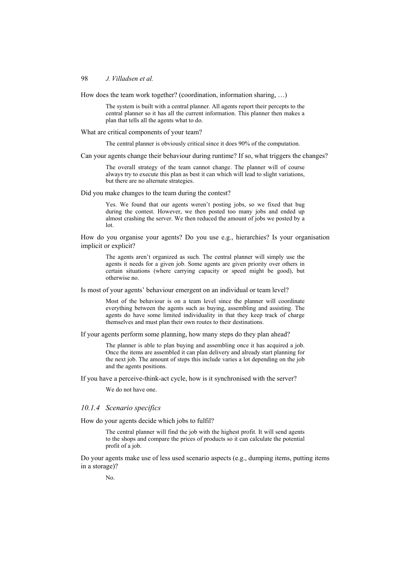How does the team work together? (coordination, information sharing, …)

The system is built with a central planner. All agents report their percepts to the central planner so it has all the current information. This planner then makes a plan that tells all the agents what to do.

What are critical components of your team?

The central planner is obviously critical since it does 90% of the computation.

Can your agents change their behaviour during runtime? If so, what triggers the changes?

The overall strategy of the team cannot change. The planner will of course always try to execute this plan as best it can which will lead to slight variations, but there are no alternate strategies.

Did you make changes to the team during the contest?

Yes. We found that our agents weren't posting jobs, so we fixed that bug during the contest. However, we then posted too many jobs and ended up almost crashing the server. We then reduced the amount of jobs we posted by a lot.

How do you organise your agents? Do you use e.g., hierarchies? Is your organisation implicit or explicit?

The agents aren't organized as such. The central planner will simply use the agents it needs for a given job. Some agents are given priority over others in certain situations (where carrying capacity or speed might be good), but otherwise no.

Is most of your agents' behaviour emergent on an individual or team level?

Most of the behaviour is on a team level since the planner will coordinate everything between the agents such as buying, assembling and assisting. The agents do have some limited individuality in that they keep track of charge themselves and must plan their own routes to their destinations.

If your agents perform some planning, how many steps do they plan ahead?

The planner is able to plan buying and assembling once it has acquired a job. Once the items are assembled it can plan delivery and already start planning for the next job. The amount of steps this include varies a lot depending on the job and the agents positions.

If you have a perceive-think-act cycle, how is it synchronised with the server?

We do not have one.

#### *10.1.4 Scenario specifics*

How do your agents decide which jobs to fulfil?

The central planner will find the job with the highest profit. It will send agents to the shops and compare the prices of products so it can calculate the potential profit of a job.

Do your agents make use of less used scenario aspects (e.g., dumping items, putting items in a storage)?

No.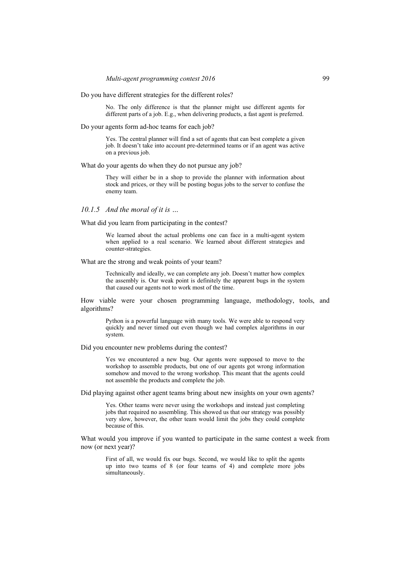Do you have different strategies for the different roles?

No. The only difference is that the planner might use different agents for different parts of a job. E.g., when delivering products, a fast agent is preferred.

Do your agents form ad-hoc teams for each job?

Yes. The central planner will find a set of agents that can best complete a given job. It doesn't take into account pre-determined teams or if an agent was active on a previous job.

What do your agents do when they do not pursue any job?

They will either be in a shop to provide the planner with information about stock and prices, or they will be posting bogus jobs to the server to confuse the enemy team.

# *10.1.5 And the moral of it is …*

What did you learn from participating in the contest?

We learned about the actual problems one can face in a multi-agent system when applied to a real scenario. We learned about different strategies and counter-strategies.

What are the strong and weak points of your team?

Technically and ideally, we can complete any job. Doesn't matter how complex the assembly is. Our weak point is definitely the apparent bugs in the system that caused our agents not to work most of the time.

How viable were your chosen programming language, methodology, tools, and algorithms?

Python is a powerful language with many tools. We were able to respond very quickly and never timed out even though we had complex algorithms in our system.

Did you encounter new problems during the contest?

Yes we encountered a new bug. Our agents were supposed to move to the workshop to assemble products, but one of our agents got wrong information somehow and moved to the wrong workshop. This meant that the agents could not assemble the products and complete the job.

Did playing against other agent teams bring about new insights on your own agents?

Yes. Other teams were never using the workshops and instead just completing jobs that required no assembling. This showed us that our strategy was possibly very slow, however, the other team would limit the jobs they could complete because of this.

What would you improve if you wanted to participate in the same contest a week from now (or next year)?

First of all, we would fix our bugs. Second, we would like to split the agents up into two teams of 8 (or four teams of 4) and complete more jobs simultaneously.